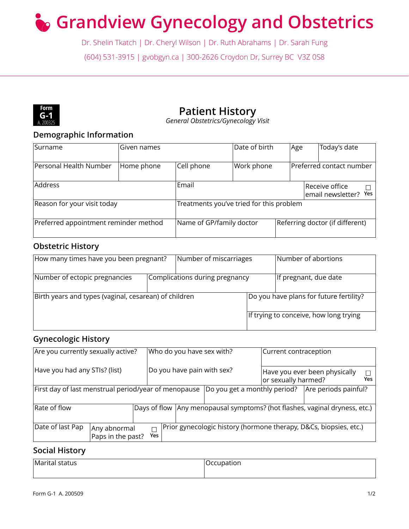# **Grandview Gynecology and Obstetrics**

Dr. Shelin Tkatch | Dr. Cheryl Wilson | Dr. Ruth Abrahams | Dr. Sarah Fung (604) 531-3915 | gvobgyn.ca | 300-2626 Croydon Dr, Surrey BC V3Z 0S8



## **Patient History**

*General Obstetrics/Gynecology Visit*

## **Demographic Information**

| Surname                               | Given names |                                                    | Date of birth | Age |  | Today's date                    |  |
|---------------------------------------|-------------|----------------------------------------------------|---------------|-----|--|---------------------------------|--|
| Personal Health Number                | Home phone  | Cell phone                                         | Work phone    |     |  | Preferred contact number        |  |
| <b>Address</b>                        |             | Email<br> Receive office <br>email newsletter? Yes |               |     |  |                                 |  |
| Reason for your visit today           |             | Treatments you've tried for this problem           |               |     |  |                                 |  |
| Preferred appointment reminder method |             | Name of GP/family doctor                           |               |     |  | Referring doctor (if different) |  |

## **Obstetric History**

| How many times have you been pregnant?                | Number of miscarriages |                                | Number of abortions |                                         |
|-------------------------------------------------------|------------------------|--------------------------------|---------------------|-----------------------------------------|
| Number of ectopic pregnancies                         |                        | Complications during pregnancy |                     | If pregnant, due date                   |
| Birth years and types (vaginal, cesarean) of children |                        |                                |                     | Do you have plans for future fertility? |
|                                                       |                        |                                |                     | If trying to conceive, how long trying  |

## **Gynecologic History**

| Are you currently sexually active? |                                                      |                      | Who do you have sex with?    | Current contraception |                                                                              |     |
|------------------------------------|------------------------------------------------------|----------------------|------------------------------|-----------------------|------------------------------------------------------------------------------|-----|
| Have you had any STIs? (list)      |                                                      |                      | Do you have pain with sex?   | or sexually harmed?   | Have you ever been physically                                                | Yes |
|                                    | First day of last menstrual period/year of menopause |                      | Do you get a monthly period? |                       | Are periods painful?                                                         |     |
| Rate of flow                       |                                                      |                      |                              |                       | Days of flow   Any menopausal symptoms? (hot flashes, vaginal dryness, etc.) |     |
| Date of last Pap                   | Any abnormal<br>Paps in the past?                    | $\Box$<br><b>Yes</b> |                              |                       | Prior gynecologic history (hormone therapy, D&Cs, biopsies, etc.)            |     |

#### **Social History**

Marital status and all and all and all and all and all and occupation